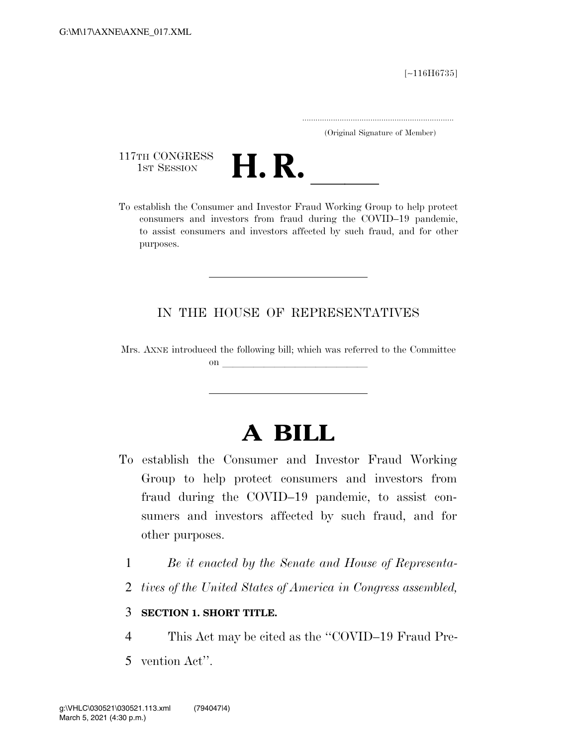[∼116H6735]

.....................................................................

(Original Signature of Member)

117TH CONGRESS<br>1st Session



117TH CONGRESS<br>1st SESSION **H. R.** <u>Investor Fraud Working Group</u> to help protect<br>To establish the Consumer and Investor Fraud Working Group to help protect consumers and investors from fraud during the COVID–19 pandemic, to assist consumers and investors affected by such fraud, and for other purposes.

## IN THE HOUSE OF REPRESENTATIVES

Mrs. AXNE introduced the following bill; which was referred to the Committee on llet us a set of the set of the set of the set of the set of the set of the set of the set of the set of the set of the set of the set of the set of the set of the set of the set of the set of the set of the set of the

## **A BILL**

- To establish the Consumer and Investor Fraud Working Group to help protect consumers and investors from fraud during the COVID–19 pandemic, to assist consumers and investors affected by such fraud, and for other purposes.
	- 1 *Be it enacted by the Senate and House of Representa-*
	- 2 *tives of the United States of America in Congress assembled,*

## 3 **SECTION 1. SHORT TITLE.**

- 4 This Act may be cited as the ''COVID–19 Fraud Pre-
- 5 vention Act''.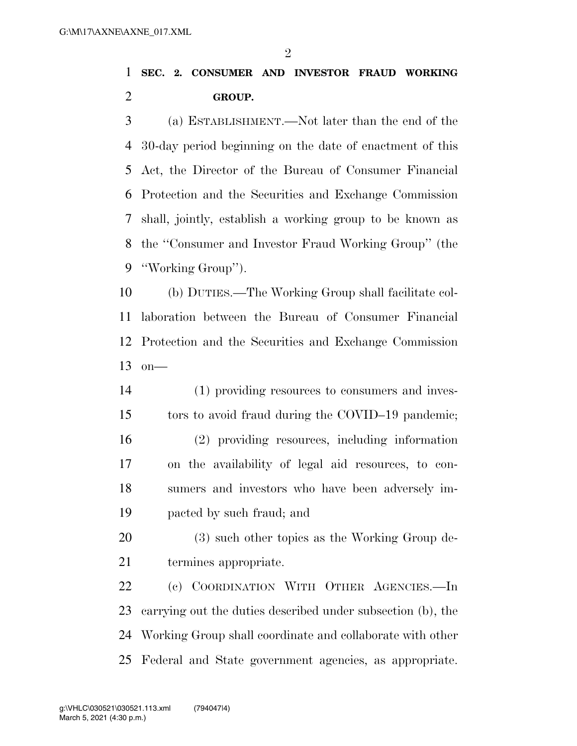$\mathfrak{D}$ 

## **SEC. 2. CONSUMER AND INVESTOR FRAUD WORKING GROUP.**

 (a) ESTABLISHMENT.—Not later than the end of the 30-day period beginning on the date of enactment of this Act, the Director of the Bureau of Consumer Financial Protection and the Securities and Exchange Commission shall, jointly, establish a working group to be known as the ''Consumer and Investor Fraud Working Group'' (the ''Working Group'').

 (b) DUTIES.—The Working Group shall facilitate col- laboration between the Bureau of Consumer Financial Protection and the Securities and Exchange Commission on—

- (1) providing resources to consumers and inves- tors to avoid fraud during the COVID–19 pandemic; (2) providing resources, including information on the availability of legal aid resources, to con- sumers and investors who have been adversely im-pacted by such fraud; and
- (3) such other topics as the Working Group de-termines appropriate.
- (c) COORDINATION WITH OTHER AGENCIES.—In carrying out the duties described under subsection (b), the Working Group shall coordinate and collaborate with other Federal and State government agencies, as appropriate.